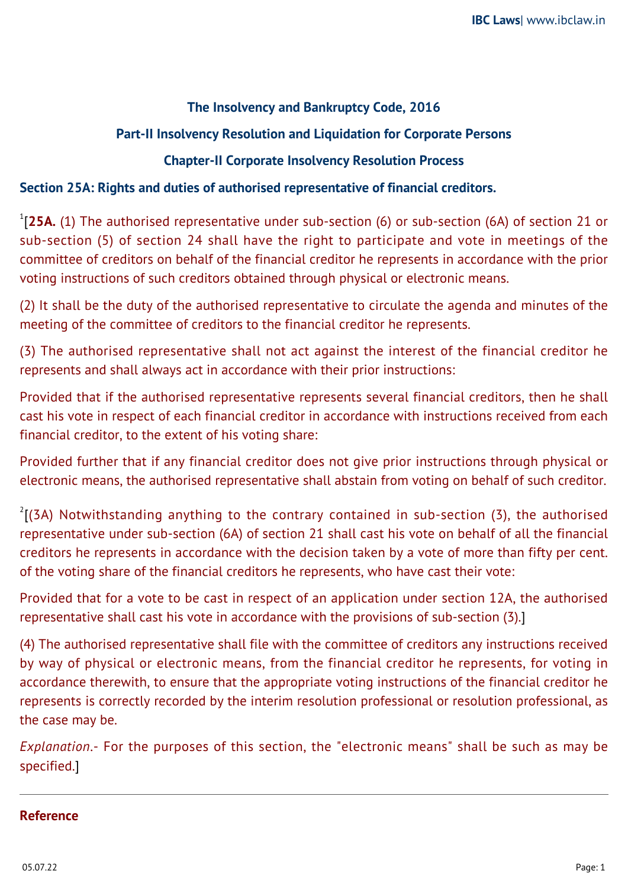#### **The Insolvency and Bankruptcy Code, 2016**

# **Part-II Insolvency Resolution and Liquidation for Corporate Persons**

# **Chapter-II Corporate Insolvency Resolution Process**

### **Section 25A: Rights and duties of authorised representative of financial creditors.**

<sup>1</sup>[25A. (1) The authorised representative under sub-section (6) or sub-section (6A) of section 21 or sub-section (5) of section 24 shall have the right to participate and vote in meetings of the committee of creditors on behalf of the financial creditor he represents in accordance with the prior voting instructions of such creditors obtained through physical or electronic means.

(2) It shall be the duty of the authorised representative to circulate the agenda and minutes of the meeting of the committee of creditors to the financial creditor he represents.

(3) The authorised representative shall not act against the interest of the financial creditor he represents and shall always act in accordance with their prior instructions:

Provided that if the authorised representative represents several financial creditors, then he shall cast his vote in respect of each financial creditor in accordance with instructions received from each financial creditor, to the extent of his voting share:

Provided further that if any financial creditor does not give prior instructions through physical or electronic means, the authorised representative shall abstain from voting on behalf of such creditor.

 $^{2}$ [(3A) Notwithstanding anything to the contrary contained in sub-section (3), the authorised representative under sub-section (6A) of section 21 shall cast his vote on behalf of all the financial creditors he represents in accordance with the decision taken by a vote of more than fifty per cent. of the voting share of the financial creditors he represents, who have cast their vote:

Provided that for a vote to be cast in respect of an application under section 12A, the authorised representative shall cast his vote in accordance with the provisions of sub-section (3).]

(4) The authorised representative shall file with the committee of creditors any instructions received by way of physical or electronic means, from the financial creditor he represents, for voting in accordance therewith, to ensure that the appropriate voting instructions of the financial creditor he represents is correctly recorded by the interim resolution professional or resolution professional, as the case may be.

*Explanation*.- For the purposes of this section, the "electronic means" shall be such as may be specified.]

#### **Reference**